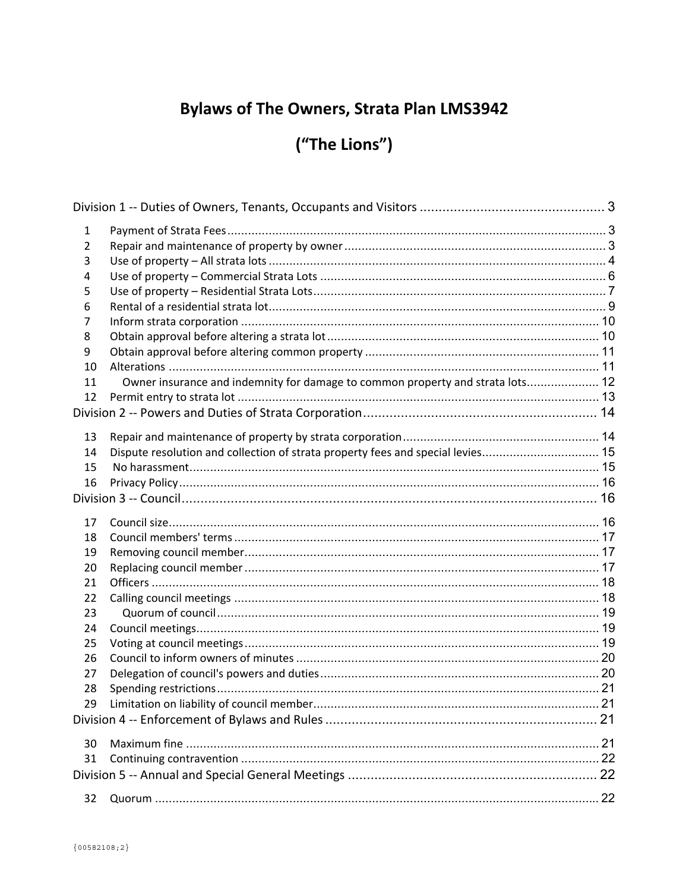# **Bylaws of The Owners, Strata Plan LMS3942**

# ("The Lions")

| 1  |                                                                                 |  |
|----|---------------------------------------------------------------------------------|--|
| 2  |                                                                                 |  |
| 3  |                                                                                 |  |
| 4  |                                                                                 |  |
| 5  |                                                                                 |  |
| 6  |                                                                                 |  |
| 7  |                                                                                 |  |
| 8  |                                                                                 |  |
| 9  |                                                                                 |  |
| 10 |                                                                                 |  |
| 11 | Owner insurance and indemnity for damage to common property and strata lots 12  |  |
| 12 |                                                                                 |  |
|    |                                                                                 |  |
| 13 |                                                                                 |  |
| 14 | Dispute resolution and collection of strata property fees and special levies 15 |  |
| 15 |                                                                                 |  |
| 16 |                                                                                 |  |
|    |                                                                                 |  |
| 17 |                                                                                 |  |
| 18 |                                                                                 |  |
| 19 |                                                                                 |  |
| 20 |                                                                                 |  |
| 21 |                                                                                 |  |
| 22 |                                                                                 |  |
| 23 |                                                                                 |  |
| 24 |                                                                                 |  |
| 25 |                                                                                 |  |
| 26 |                                                                                 |  |
| 27 |                                                                                 |  |
| 28 |                                                                                 |  |
| 29 | Limitation on liability of council member.                                      |  |
|    |                                                                                 |  |
| 30 |                                                                                 |  |
| 31 |                                                                                 |  |
|    |                                                                                 |  |
|    |                                                                                 |  |
| 32 |                                                                                 |  |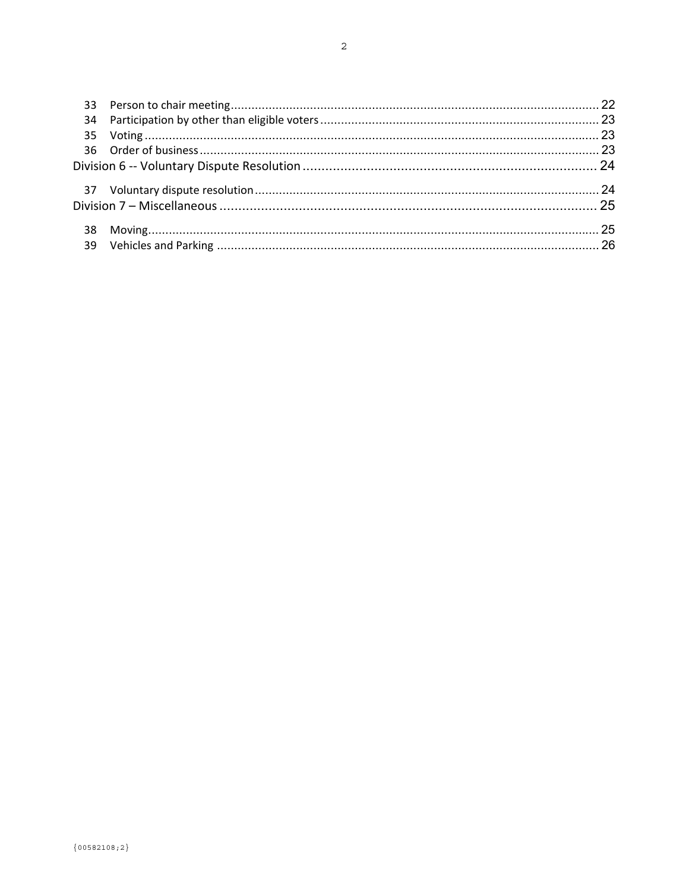| 39 |  |
|----|--|
|    |  |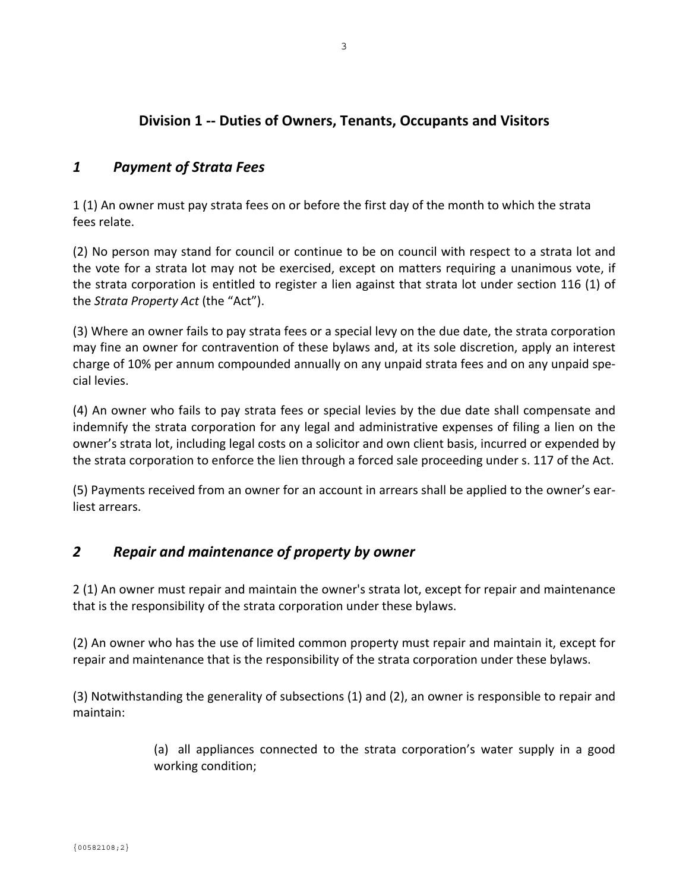## **Division 1 ‐‐ Duties of Owners, Tenants, Occupants and Visitors**

### *1 Payment of Strata Fees*

1 (1) An owner must pay strata fees on or before the first day of the month to which the strata fees relate.

(2) No person may stand for council or continue to be on council with respect to a strata lot and the vote for a strata lot may not be exercised, except on matters requiring a unanimous vote, if the strata corporation is entitled to register a lien against that strata lot under section 116 (1) of the *Strata Property Act* (the "Act").

(3) Where an owner fails to pay strata fees or a special levy on the due date, the strata corporation may fine an owner for contravention of these bylaws and, at its sole discretion, apply an interest charge of 10% per annum compounded annually on any unpaid strata fees and on any unpaid spe‐ cial levies.

(4) An owner who fails to pay strata fees or special levies by the due date shall compensate and indemnify the strata corporation for any legal and administrative expenses of filing a lien on the owner's strata lot, including legal costs on a solicitor and own client basis, incurred or expended by the strata corporation to enforce the lien through a forced sale proceeding under s. 117 of the Act.

(5) Payments received from an owner for an account in arrears shall be applied to the owner's ear‐ liest arrears.

## *2 Repair and maintenance of property by owner*

2 (1) An owner must repair and maintain the owner's strata lot, except for repair and maintenance that is the responsibility of the strata corporation under these bylaws.

(2) An owner who has the use of limited common property must repair and maintain it, except for repair and maintenance that is the responsibility of the strata corporation under these bylaws.

(3) Notwithstanding the generality of subsections (1) and (2), an owner is responsible to repair and maintain:

> (a) all appliances connected to the strata corporation's water supply in a good working condition;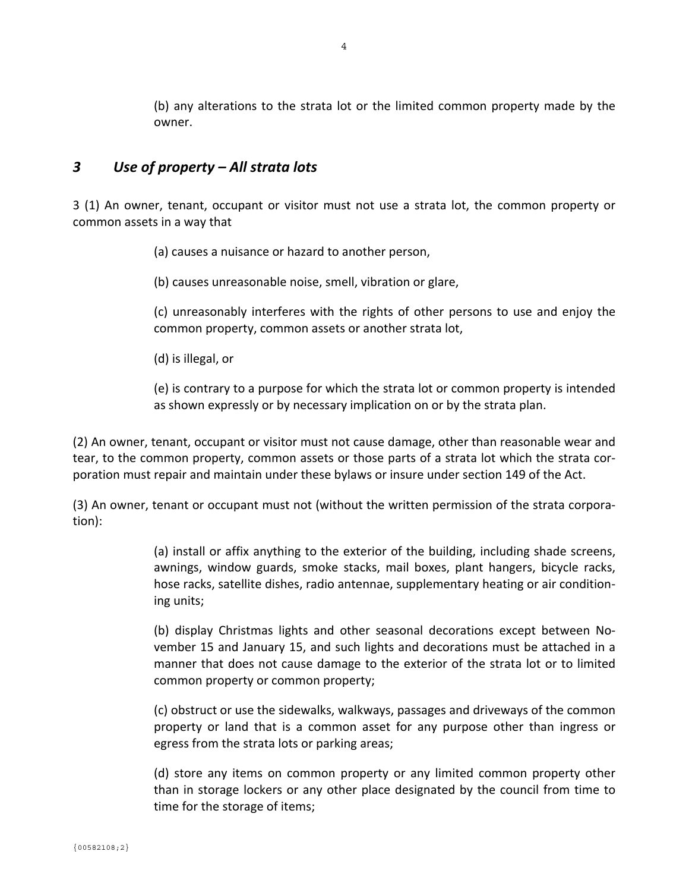(b) any alterations to the strata lot or the limited common property made by the owner.

### *3 Use of property – All strata lots*

3 (1) An owner, tenant, occupant or visitor must not use a strata lot, the common property or common assets in a way that

(a) causes a nuisance or hazard to another person,

(b) causes unreasonable noise, smell, vibration or glare,

(c) unreasonably interferes with the rights of other persons to use and enjoy the common property, common assets or another strata lot,

(d) is illegal, or

(e) is contrary to a purpose for which the strata lot or common property is intended as shown expressly or by necessary implication on or by the strata plan.

(2) An owner, tenant, occupant or visitor must not cause damage, other than reasonable wear and tear, to the common property, common assets or those parts of a strata lot which the strata cor‐ poration must repair and maintain under these bylaws or insure under section 149 of the Act.

(3) An owner, tenant or occupant must not (without the written permission of the strata corpora‐ tion):

> (a) install or affix anything to the exterior of the building, including shade screens, awnings, window guards, smoke stacks, mail boxes, plant hangers, bicycle racks, hose racks, satellite dishes, radio antennae, supplementary heating or air condition‐ ing units;

> (b) display Christmas lights and other seasonal decorations except between No‐ vember 15 and January 15, and such lights and decorations must be attached in a manner that does not cause damage to the exterior of the strata lot or to limited common property or common property;

> (c) obstruct or use the sidewalks, walkways, passages and driveways of the common property or land that is a common asset for any purpose other than ingress or egress from the strata lots or parking areas;

> (d) store any items on common property or any limited common property other than in storage lockers or any other place designated by the council from time to time for the storage of items;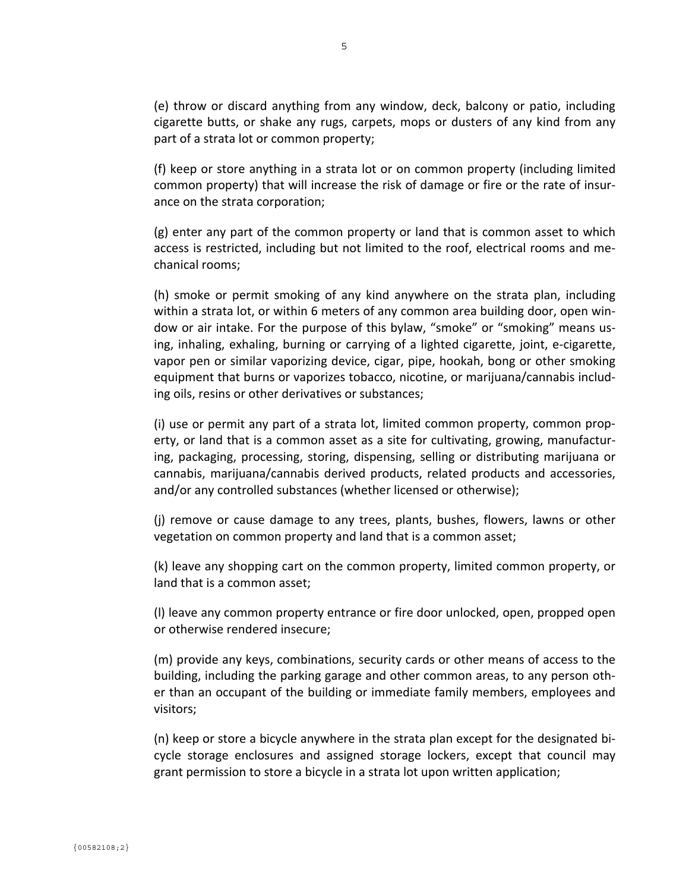(e) throw or discard anything from any window, deck, balcony or patio, including cigarette butts, or shake any rugs, carpets, mops or dusters of any kind from any part of a strata lot or common property;

(f) keep or store anything in a strata lot or on common property (including limited common property) that will increase the risk of damage or fire or the rate of insur‐ ance on the strata corporation;

(g) enter any part of the common property or land that is common asset to which access is restricted, including but not limited to the roof, electrical rooms and me‐ chanical rooms;

(h) smoke or permit smoking of any kind anywhere on the strata plan, including within a strata lot, or within 6 meters of any common area building door, open win‐ dow or air intake. For the purpose of this bylaw, "smoke" or "smoking" means us‐ ing, inhaling, exhaling, burning or carrying of a lighted cigarette, joint, e‐cigarette, vapor pen or similar vaporizing device, cigar, pipe, hookah, bong or other smoking equipment that burns or vaporizes tobacco, nicotine, or marijuana/cannabis includ‐ ing oils, resins or other derivatives or substances;

(i) use or permit any part of a strata lot, limited common property, common prop‐ erty, or land that is a common asset as a site for cultivating, growing, manufactur‐ ing, packaging, processing, storing, dispensing, selling or distributing marijuana or cannabis, marijuana/cannabis derived products, related products and accessories, and/or any controlled substances (whether licensed or otherwise);

(j) remove or cause damage to any trees, plants, bushes, flowers, lawns or other vegetation on common property and land that is a common asset;

(k) leave any shopping cart on the common property, limited common property, or land that is a common asset;

(l) leave any common property entrance or fire door unlocked, open, propped open or otherwise rendered insecure;

(m) provide any keys, combinations, security cards or other means of access to the building, including the parking garage and other common areas, to any person oth‐ er than an occupant of the building or immediate family members, employees and visitors;

(n) keep or store a bicycle anywhere in the strata plan except for the designated bi‐ cycle storage enclosures and assigned storage lockers, except that council may grant permission to store a bicycle in a strata lot upon written application;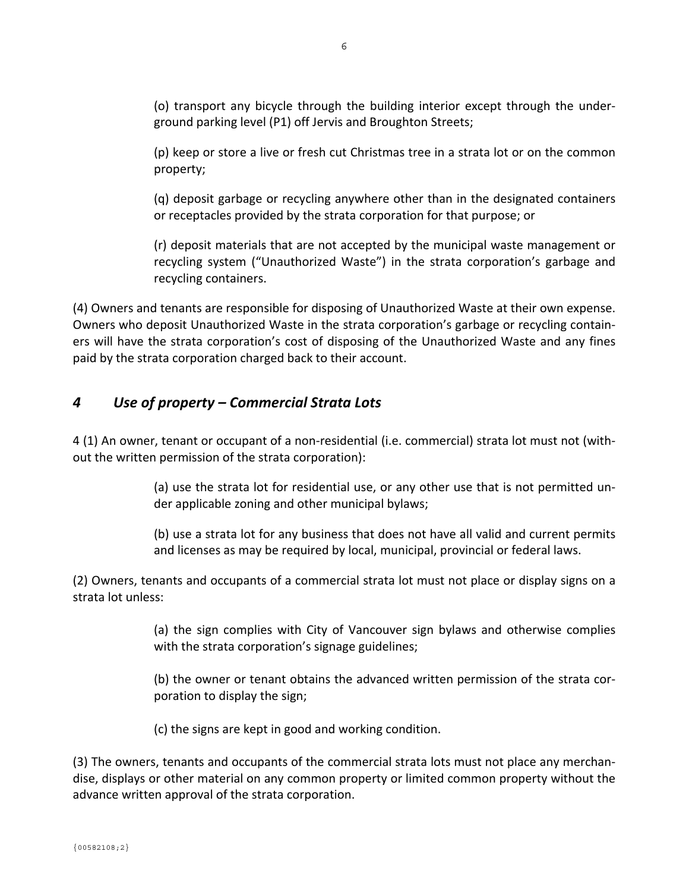(o) transport any bicycle through the building interior except through the under‐ ground parking level (P1) off Jervis and Broughton Streets;

(p) keep or store a live or fresh cut Christmas tree in a strata lot or on the common property;

(q) deposit garbage or recycling anywhere other than in the designated containers or receptacles provided by the strata corporation for that purpose; or

(r) deposit materials that are not accepted by the municipal waste management or recycling system ("Unauthorized Waste") in the strata corporation's garbage and recycling containers.

(4) Owners and tenants are responsible for disposing of Unauthorized Waste at their own expense. Owners who deposit Unauthorized Waste in the strata corporation's garbage or recycling contain‐ ers will have the strata corporation's cost of disposing of the Unauthorized Waste and any fines paid by the strata corporation charged back to their account.

# *4 Use of property – Commercial Strata Lots*

4 (1) An owner, tenant or occupant of a non‐residential (i.e. commercial) strata lot must not (with‐ out the written permission of the strata corporation):

> (a) use the strata lot for residential use, or any other use that is not permitted un‐ der applicable zoning and other municipal bylaws;

> (b) use a strata lot for any business that does not have all valid and current permits and licenses as may be required by local, municipal, provincial or federal laws.

(2) Owners, tenants and occupants of a commercial strata lot must not place or display signs on a strata lot unless:

> (a) the sign complies with City of Vancouver sign bylaws and otherwise complies with the strata corporation's signage guidelines;

> (b) the owner or tenant obtains the advanced written permission of the strata cor‐ poration to display the sign;

(c) the signs are kept in good and working condition.

(3) The owners, tenants and occupants of the commercial strata lots must not place any merchan‐ dise, displays or other material on any common property or limited common property without the advance written approval of the strata corporation.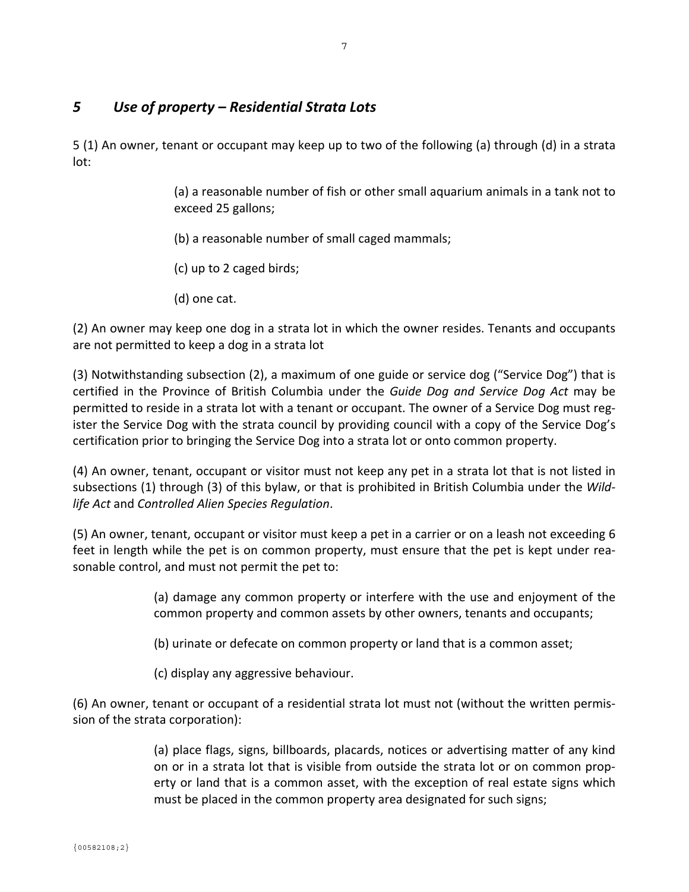## *5 Use of property – Residential Strata Lots*

5 (1) An owner, tenant or occupant may keep up to two of the following (a) through (d) in a strata lot:

> (a) a reasonable number of fish or other small aquarium animals in a tank not to exceed 25 gallons;

(b) a reasonable number of small caged mammals;

(c) up to 2 caged birds;

(d) one cat.

(2) An owner may keep one dog in a strata lot in which the owner resides. Tenants and occupants are not permitted to keep a dog in a strata lot

(3) Notwithstanding subsection (2), a maximum of one guide or service dog ("Service Dog") that is certified in the Province of British Columbia under the *Guide Dog and Service Dog Act* may be permitted to reside in a strata lot with a tenant or occupant. The owner of a Service Dog must register the Service Dog with the strata council by providing council with a copy of the Service Dog's certification prior to bringing the Service Dog into a strata lot or onto common property.

(4) An owner, tenant, occupant or visitor must not keep any pet in a strata lot that is not listed in subsections (1) through (3) of this bylaw, or that is prohibited in British Columbia under the *Wild‐ life Act* and *Controlled Alien Species Regulation*.

(5) An owner, tenant, occupant or visitor must keep a pet in a carrier or on a leash not exceeding 6 feet in length while the pet is on common property, must ensure that the pet is kept under reasonable control, and must not permit the pet to:

> (a) damage any common property or interfere with the use and enjoyment of the common property and common assets by other owners, tenants and occupants;

(b) urinate or defecate on common property or land that is a common asset;

(c) display any aggressive behaviour.

(6) An owner, tenant or occupant of a residential strata lot must not (without the written permis‐ sion of the strata corporation):

> (a) place flags, signs, billboards, placards, notices or advertising matter of any kind on or in a strata lot that is visible from outside the strata lot or on common prop‐ erty or land that is a common asset, with the exception of real estate signs which must be placed in the common property area designated for such signs;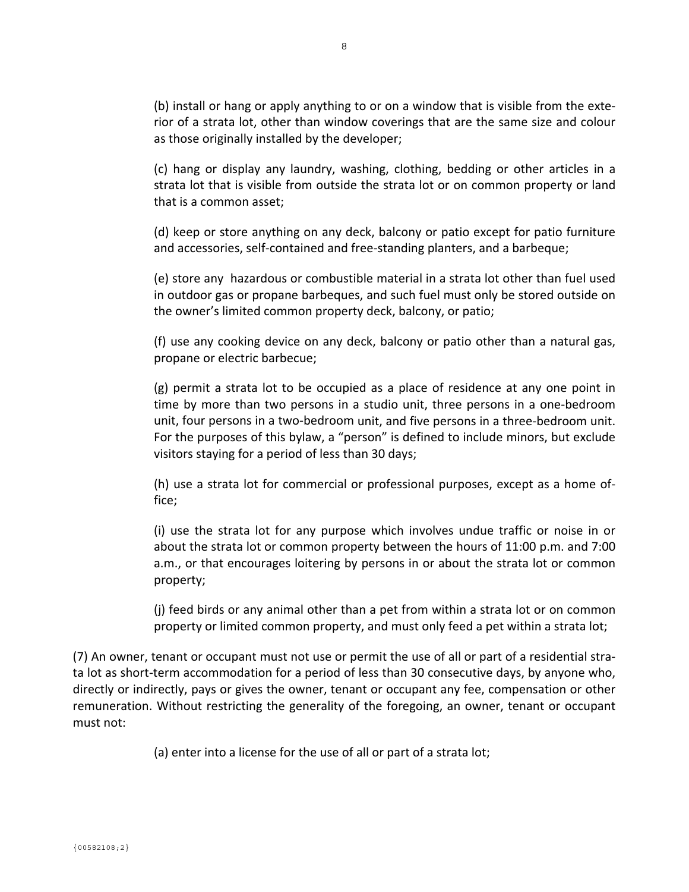(b) install or hang or apply anything to or on a window that is visible from the exte‐ rior of a strata lot, other than window coverings that are the same size and colour as those originally installed by the developer;

(c) hang or display any laundry, washing, clothing, bedding or other articles in a strata lot that is visible from outside the strata lot or on common property or land that is a common asset;

(d) keep or store anything on any deck, balcony or patio except for patio furniture and accessories, self‐contained and free‐standing planters, and a barbeque;

(e) store any hazardous or combustible material in a strata lot other than fuel used in outdoor gas or propane barbeques, and such fuel must only be stored outside on the owner's limited common property deck, balcony, or patio;

(f) use any cooking device on any deck, balcony or patio other than a natural gas, propane or electric barbecue;

(g) permit a strata lot to be occupied as a place of residence at any one point in time by more than two persons in a studio unit, three persons in a one‐bedroom unit, four persons in a two-bedroom unit, and five persons in a three-bedroom unit. For the purposes of this bylaw, a "person" is defined to include minors, but exclude visitors staying for a period of less than 30 days;

(h) use a strata lot for commercial or professional purposes, except as a home of‐ fice;

(i) use the strata lot for any purpose which involves undue traffic or noise in or about the strata lot or common property between the hours of 11:00 p.m. and 7:00 a.m., or that encourages loitering by persons in or about the strata lot or common property;

(j) feed birds or any animal other than a pet from within a strata lot or on common property or limited common property, and must only feed a pet within a strata lot;

(7) An owner, tenant or occupant must not use or permit the use of all or part of a residential stra‐ ta lot as short‐term accommodation for a period of less than 30 consecutive days, by anyone who, directly or indirectly, pays or gives the owner, tenant or occupant any fee, compensation or other remuneration. Without restricting the generality of the foregoing, an owner, tenant or occupant must not:

(a) enter into a license for the use of all or part of a strata lot;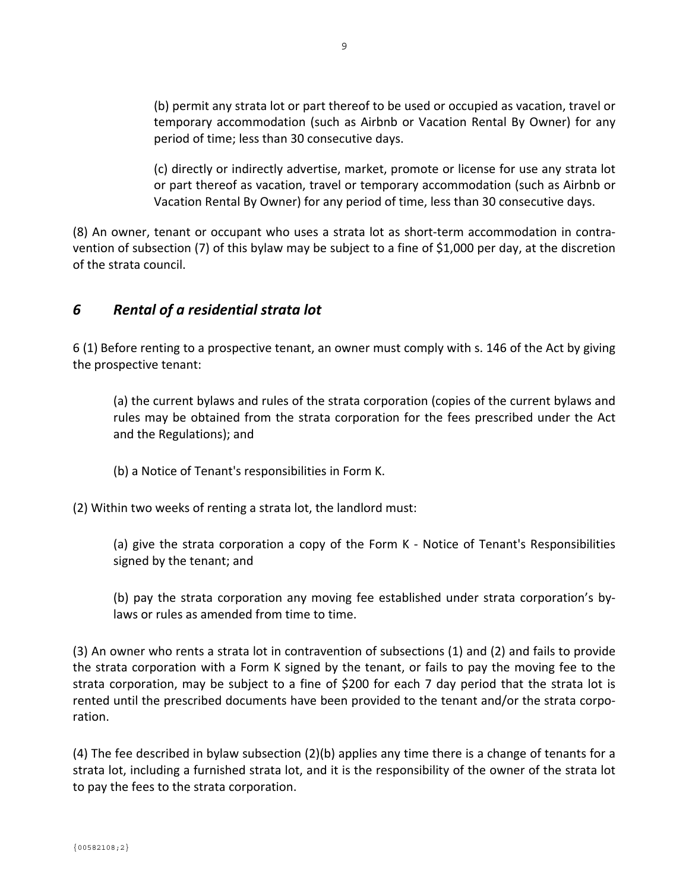(b) permit any strata lot or part thereof to be used or occupied as vacation, travel or temporary accommodation (such as Airbnb or Vacation Rental By Owner) for any period of time; less than 30 consecutive days.

(c) directly or indirectly advertise, market, promote or license for use any strata lot or part thereof as vacation, travel or temporary accommodation (such as Airbnb or Vacation Rental By Owner) for any period of time, less than 30 consecutive days.

(8) An owner, tenant or occupant who uses a strata lot as short‐term accommodation in contra‐ vention of subsection (7) of this bylaw may be subject to a fine of \$1,000 per day, at the discretion of the strata council.

## *6 Rental of a residential strata lot*

6 (1) Before renting to a prospective tenant, an owner must comply with s. 146 of the Act by giving the prospective tenant:

(a) the current bylaws and rules of the strata corporation (copies of the current bylaws and rules may be obtained from the strata corporation for the fees prescribed under the Act and the Regulations); and

(b) a Notice of Tenant's responsibilities in Form K.

(2) Within two weeks of renting a strata lot, the landlord must:

(a) give the strata corporation a copy of the Form K ‐ Notice of Tenant's Responsibilities signed by the tenant; and

(b) pay the strata corporation any moving fee established under strata corporation's by‐ laws or rules as amended from time to time.

(3) An owner who rents a strata lot in contravention of subsections (1) and (2) and fails to provide the strata corporation with a Form K signed by the tenant, or fails to pay the moving fee to the strata corporation, may be subject to a fine of \$200 for each 7 day period that the strata lot is rented until the prescribed documents have been provided to the tenant and/or the strata corpo‐ ration.

(4) The fee described in bylaw subsection (2)(b) applies any time there is a change of tenants for a strata lot, including a furnished strata lot, and it is the responsibility of the owner of the strata lot to pay the fees to the strata corporation.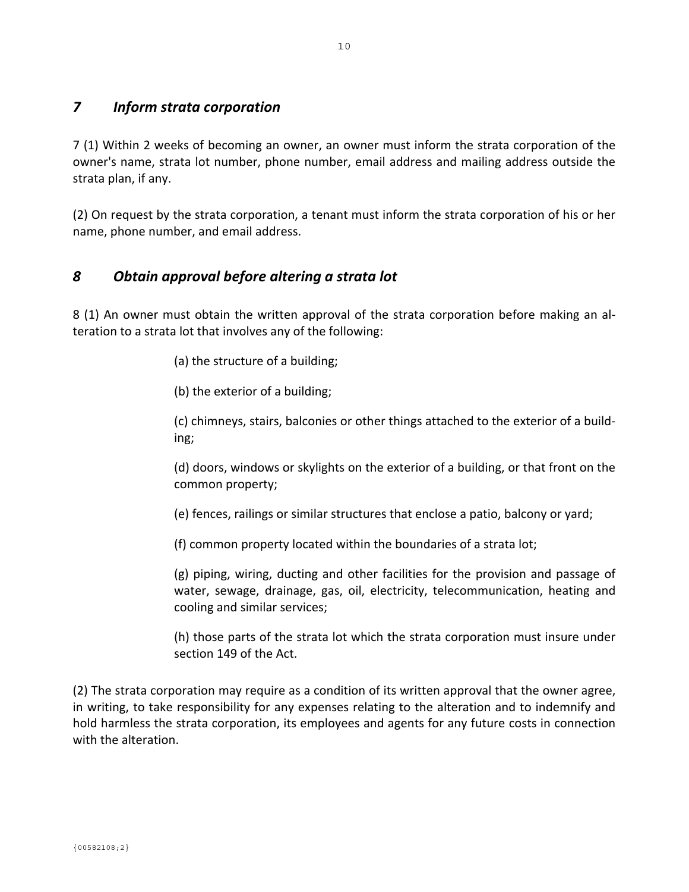## *7 Inform strata corporation*

7 (1) Within 2 weeks of becoming an owner, an owner must inform the strata corporation of the owner's name, strata lot number, phone number, email address and mailing address outside the strata plan, if any.

(2) On request by the strata corporation, a tenant must inform the strata corporation of his or her name, phone number, and email address.

## *8 Obtain approval before altering a strata lot*

8 (1) An owner must obtain the written approval of the strata corporation before making an al‐ teration to a strata lot that involves any of the following:

(a) the structure of a building;

(b) the exterior of a building;

(c) chimneys, stairs, balconies or other things attached to the exterior of a build‐ ing;

(d) doors, windows or skylights on the exterior of a building, or that front on the common property;

(e) fences, railings or similar structures that enclose a patio, balcony or yard;

(f) common property located within the boundaries of a strata lot;

(g) piping, wiring, ducting and other facilities for the provision and passage of water, sewage, drainage, gas, oil, electricity, telecommunication, heating and cooling and similar services;

(h) those parts of the strata lot which the strata corporation must insure under section 149 of the Act.

(2) The strata corporation may require as a condition of its written approval that the owner agree, in writing, to take responsibility for any expenses relating to the alteration and to indemnify and hold harmless the strata corporation, its employees and agents for any future costs in connection with the alteration.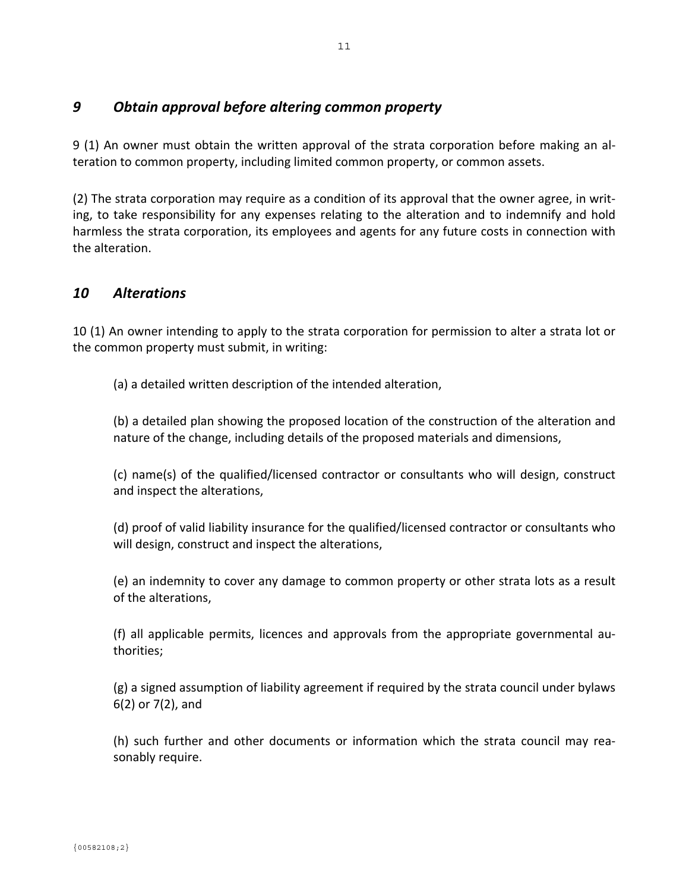## *9 Obtain approval before altering common property*

9 (1) An owner must obtain the written approval of the strata corporation before making an al‐ teration to common property, including limited common property, or common assets.

(2) The strata corporation may require as a condition of its approval that the owner agree, in writ‐ ing, to take responsibility for any expenses relating to the alteration and to indemnify and hold harmless the strata corporation, its employees and agents for any future costs in connection with the alteration.

#### *10 Alterations*

10 (1) An owner intending to apply to the strata corporation for permission to alter a strata lot or the common property must submit, in writing:

(a) a detailed written description of the intended alteration,

(b) a detailed plan showing the proposed location of the construction of the alteration and nature of the change, including details of the proposed materials and dimensions,

(c) name(s) of the qualified/licensed contractor or consultants who will design, construct and inspect the alterations,

(d) proof of valid liability insurance for the qualified/licensed contractor or consultants who will design, construct and inspect the alterations,

(e) an indemnity to cover any damage to common property or other strata lots as a result of the alterations,

(f) all applicable permits, licences and approvals from the appropriate governmental au‐ thorities;

(g) a signed assumption of liability agreement if required by the strata council under bylaws 6(2) or 7(2), and

(h) such further and other documents or information which the strata council may rea‐ sonably require.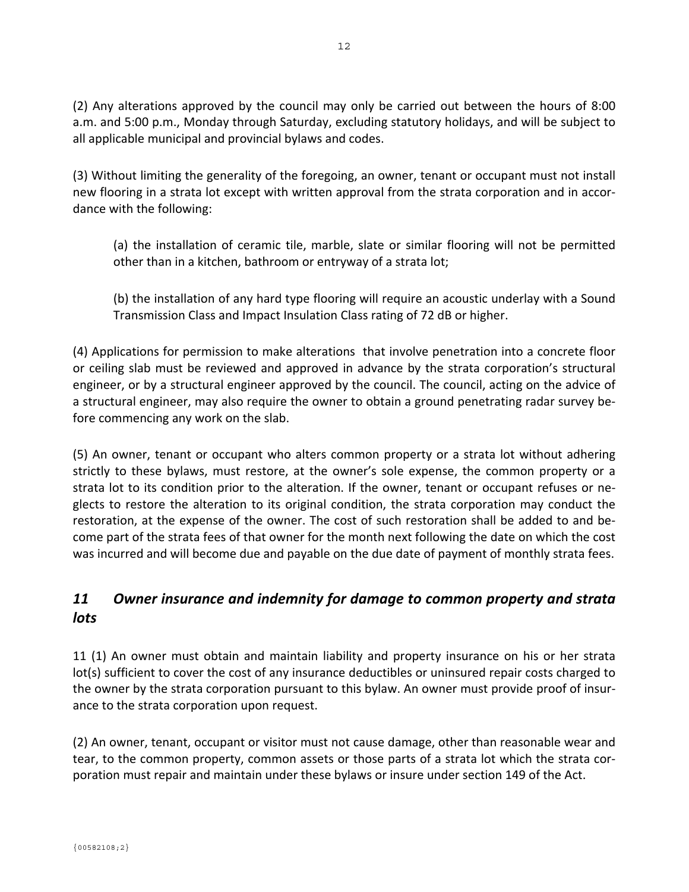(2) Any alterations approved by the council may only be carried out between the hours of 8:00 a.m. and 5:00 p.m., Monday through Saturday, excluding statutory holidays, and will be subject to all applicable municipal and provincial bylaws and codes.

(3) Without limiting the generality of the foregoing, an owner, tenant or occupant must not install new flooring in a strata lot except with written approval from the strata corporation and in accor‐ dance with the following:

(a) the installation of ceramic tile, marble, slate or similar flooring will not be permitted other than in a kitchen, bathroom or entryway of a strata lot;

(b) the installation of any hard type flooring will require an acoustic underlay with a Sound Transmission Class and Impact Insulation Class rating of 72 dB or higher.

(4) Applications for permission to make alterations that involve penetration into a concrete floor or ceiling slab must be reviewed and approved in advance by the strata corporation's structural engineer, or by a structural engineer approved by the council. The council, acting on the advice of a structural engineer, may also require the owner to obtain a ground penetrating radar survey be‐ fore commencing any work on the slab.

(5) An owner, tenant or occupant who alters common property or a strata lot without adhering strictly to these bylaws, must restore, at the owner's sole expense, the common property or a strata lot to its condition prior to the alteration. If the owner, tenant or occupant refuses or ne‐ glects to restore the alteration to its original condition, the strata corporation may conduct the restoration, at the expense of the owner. The cost of such restoration shall be added to and be‐ come part of the strata fees of that owner for the month next following the date on which the cost was incurred and will become due and payable on the due date of payment of monthly strata fees.

# *11 Owner insurance and indemnity for damage to common property and strata lots*

11 (1) An owner must obtain and maintain liability and property insurance on his or her strata lot(s) sufficient to cover the cost of any insurance deductibles or uninsured repair costs charged to the owner by the strata corporation pursuant to this bylaw. An owner must provide proof of insur‐ ance to the strata corporation upon request.

(2) An owner, tenant, occupant or visitor must not cause damage, other than reasonable wear and tear, to the common property, common assets or those parts of a strata lot which the strata cor‐ poration must repair and maintain under these bylaws or insure under section 149 of the Act.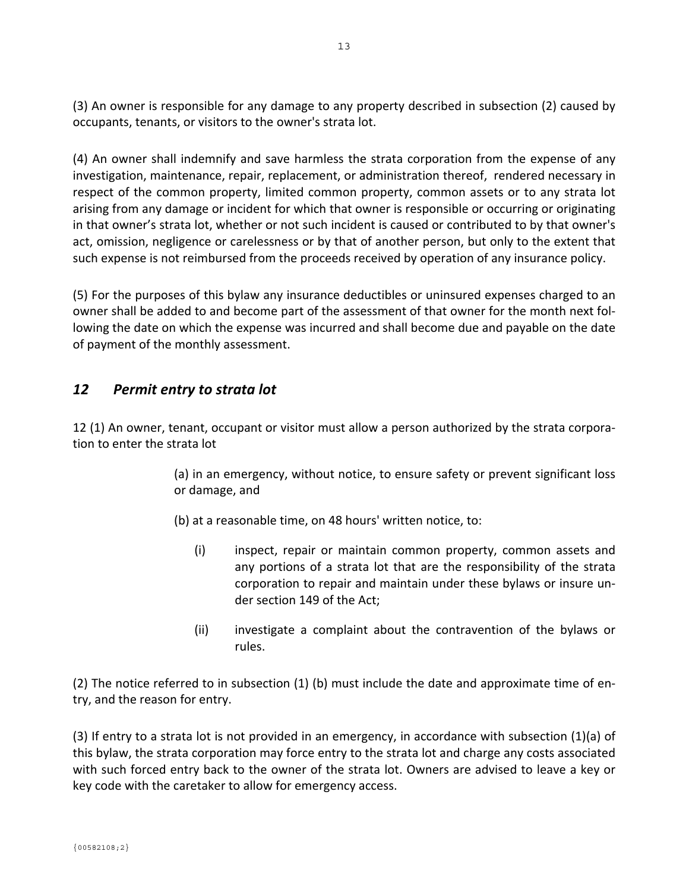(3) An owner is responsible for any damage to any property described in subsection (2) caused by occupants, tenants, or visitors to the owner's strata lot.

(4) An owner shall indemnify and save harmless the strata corporation from the expense of any investigation, maintenance, repair, replacement, or administration thereof, rendered necessary in respect of the common property, limited common property, common assets or to any strata lot arising from any damage or incident for which that owner is responsible or occurring or originating in that owner's strata lot, whether or not such incident is caused or contributed to by that owner's act, omission, negligence or carelessness or by that of another person, but only to the extent that such expense is not reimbursed from the proceeds received by operation of any insurance policy.

(5) For the purposes of this bylaw any insurance deductibles or uninsured expenses charged to an owner shall be added to and become part of the assessment of that owner for the month next fol‐ lowing the date on which the expense was incurred and shall become due and payable on the date of payment of the monthly assessment.

## *12 Permit entry to strata lot*

12 (1) An owner, tenant, occupant or visitor must allow a person authorized by the strata corpora‐ tion to enter the strata lot

> (a) in an emergency, without notice, to ensure safety or prevent significant loss or damage, and

(b) at a reasonable time, on 48 hours' written notice, to:

- (i) inspect, repair or maintain common property, common assets and any portions of a strata lot that are the responsibility of the strata corporation to repair and maintain under these bylaws or insure un‐ der section 149 of the Act;
- (ii) investigate a complaint about the contravention of the bylaws or rules.

(2) The notice referred to in subsection (1) (b) must include the date and approximate time of en‐ try, and the reason for entry.

(3) If entry to a strata lot is not provided in an emergency, in accordance with subsection (1)(a) of this bylaw, the strata corporation may force entry to the strata lot and charge any costs associated with such forced entry back to the owner of the strata lot. Owners are advised to leave a key or key code with the caretaker to allow for emergency access.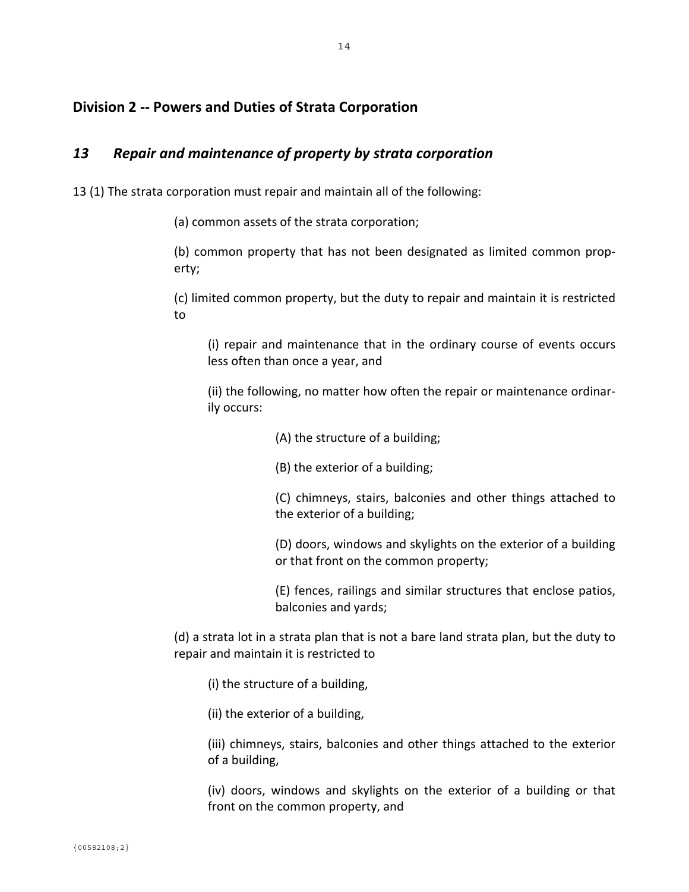## **Division 2 ‐‐ Powers and Duties of Strata Corporation**

#### *13 Repair and maintenance of property by strata corporation*

13 (1) The strata corporation must repair and maintain all of the following:

(a) common assets of the strata corporation;

(b) common property that has not been designated as limited common prop‐ erty;

(c) limited common property, but the duty to repair and maintain it is restricted to

(i) repair and maintenance that in the ordinary course of events occurs less often than once a year, and

(ii) the following, no matter how often the repair or maintenance ordinar‐ ily occurs:

- (A) the structure of a building;
- (B) the exterior of a building;

(C) chimneys, stairs, balconies and other things attached to the exterior of a building;

(D) doors, windows and skylights on the exterior of a building or that front on the common property;

(E) fences, railings and similar structures that enclose patios, balconies and yards;

(d) a strata lot in a strata plan that is not a bare land strata plan, but the duty to repair and maintain it is restricted to

- (i) the structure of a building,
- (ii) the exterior of a building,

(iii) chimneys, stairs, balconies and other things attached to the exterior of a building,

(iv) doors, windows and skylights on the exterior of a building or that front on the common property, and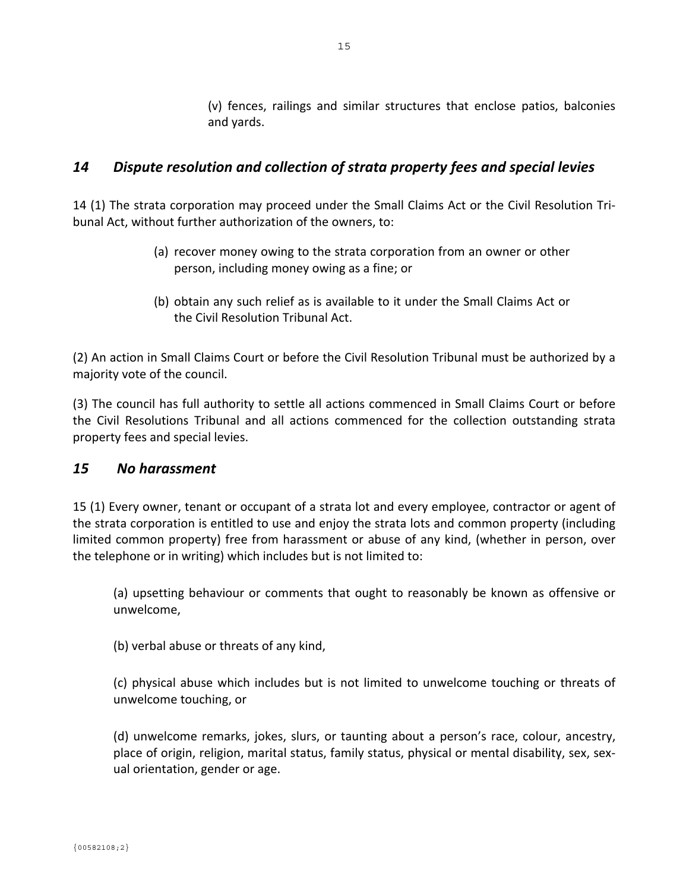(v) fences, railings and similar structures that enclose patios, balconies and yards.

## *14 Dispute resolution and collection of strata property fees and special levies*

14 (1) The strata corporation may proceed under the Small Claims Act or the Civil Resolution Tri‐ bunal Act, without further authorization of the owners, to:

- (a) recover money owing to the strata corporation from an owner or other person, including money owing as a fine; or
- (b) obtain any such relief as is available to it under the Small Claims Act or the Civil Resolution Tribunal Act.

(2) An action in Small Claims Court or before the Civil Resolution Tribunal must be authorized by a majority vote of the council.

(3) The council has full authority to settle all actions commenced in Small Claims Court or before the Civil Resolutions Tribunal and all actions commenced for the collection outstanding strata property fees and special levies.

#### *15 No harassment*

15 (1) Every owner, tenant or occupant of a strata lot and every employee, contractor or agent of the strata corporation is entitled to use and enjoy the strata lots and common property (including limited common property) free from harassment or abuse of any kind, (whether in person, over the telephone or in writing) which includes but is not limited to:

(a) upsetting behaviour or comments that ought to reasonably be known as offensive or unwelcome,

(b) verbal abuse or threats of any kind,

(c) physical abuse which includes but is not limited to unwelcome touching or threats of unwelcome touching, or

(d) unwelcome remarks, jokes, slurs, or taunting about a person's race, colour, ancestry, place of origin, religion, marital status, family status, physical or mental disability, sex, sex‐ ual orientation, gender or age.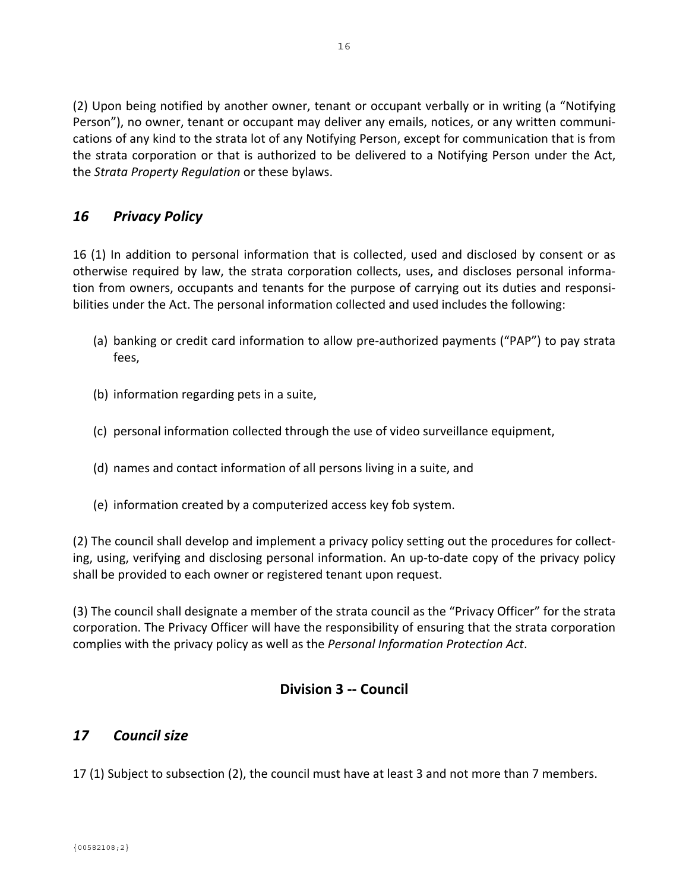(2) Upon being notified by another owner, tenant or occupant verbally or in writing (a "Notifying Person"), no owner, tenant or occupant may deliver any emails, notices, or any written communi‐ cations of any kind to the strata lot of any Notifying Person, except for communication that is from the strata corporation or that is authorized to be delivered to a Notifying Person under the Act, the *Strata Property Regulation* or these bylaws.

# *16 Privacy Policy*

16 (1) In addition to personal information that is collected, used and disclosed by consent or as otherwise required by law, the strata corporation collects, uses, and discloses personal informa‐ tion from owners, occupants and tenants for the purpose of carrying out its duties and responsi‐ bilities under the Act. The personal information collected and used includes the following:

- (a) banking or credit card information to allow pre‐authorized payments ("PAP") to pay strata fees,
- (b) information regarding pets in a suite,
- (c) personal information collected through the use of video surveillance equipment,
- (d) names and contact information of all persons living in a suite, and
- (e) information created by a computerized access key fob system.

(2) The council shall develop and implement a privacy policy setting out the procedures for collect‐ ing, using, verifying and disclosing personal information. An up‐to‐date copy of the privacy policy shall be provided to each owner or registered tenant upon request.

(3) The council shall designate a member of the strata council as the "Privacy Officer" for the strata corporation. The Privacy Officer will have the responsibility of ensuring that the strata corporation complies with the privacy policy as well as the *Personal Information Protection Act*.

# **Division 3 ‐‐ Council**

## *17 Council size*

17 (1) Subject to subsection (2), the council must have at least 3 and not more than 7 members.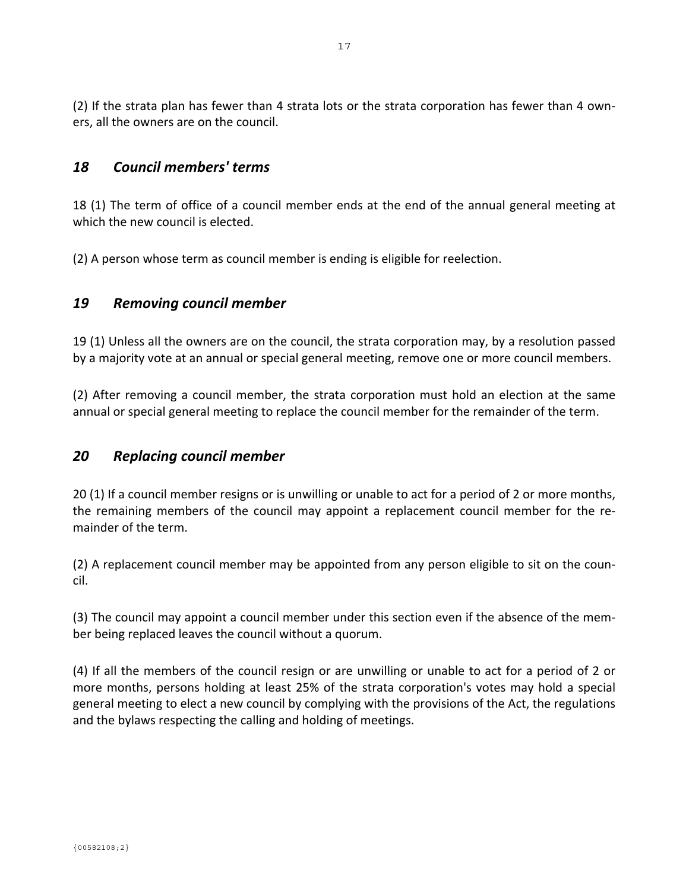(2) If the strata plan has fewer than 4 strata lots or the strata corporation has fewer than 4 own‐ ers, all the owners are on the council.

#### *18 Council members' terms*

18 (1) The term of office of a council member ends at the end of the annual general meeting at which the new council is elected.

(2) A person whose term as council member is ending is eligible for reelection.

#### *19 Removing council member*

19 (1) Unless all the owners are on the council, the strata corporation may, by a resolution passed by a majority vote at an annual or special general meeting, remove one or more council members.

(2) After removing a council member, the strata corporation must hold an election at the same annual or special general meeting to replace the council member for the remainder of the term.

#### *20 Replacing council member*

20 (1) If a council member resigns or is unwilling or unable to act for a period of 2 or more months, the remaining members of the council may appoint a replacement council member for the re‐ mainder of the term.

(2) A replacement council member may be appointed from any person eligible to sit on the coun‐ cil.

(3) The council may appoint a council member under this section even if the absence of the mem‐ ber being replaced leaves the council without a quorum.

(4) If all the members of the council resign or are unwilling or unable to act for a period of 2 or more months, persons holding at least 25% of the strata corporation's votes may hold a special general meeting to elect a new council by complying with the provisions of the Act, the regulations and the bylaws respecting the calling and holding of meetings.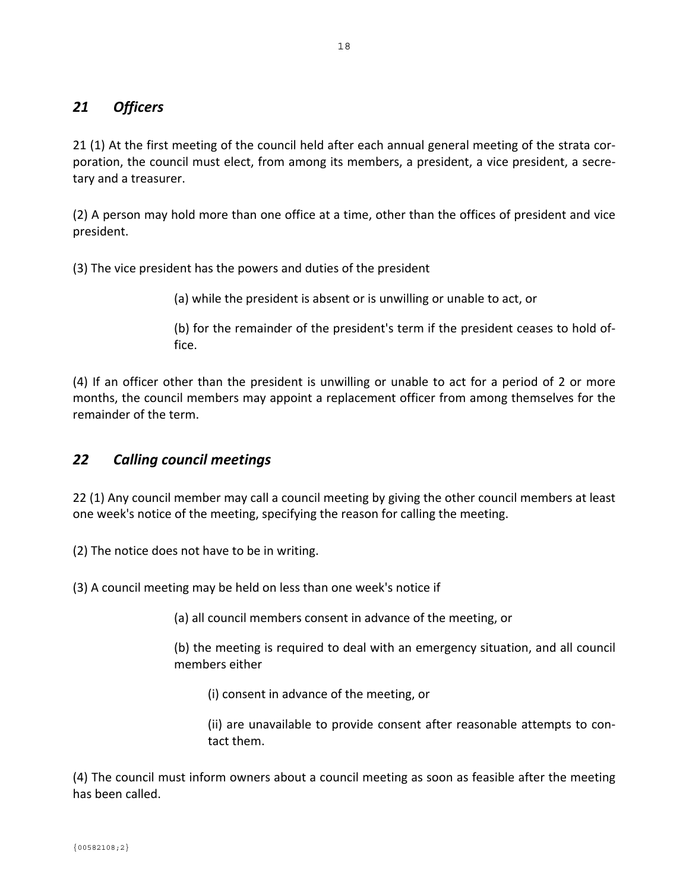## *21 Officers*

21 (1) At the first meeting of the council held after each annual general meeting of the strata cor‐ poration, the council must elect, from among its members, a president, a vice president, a secretary and a treasurer.

(2) A person may hold more than one office at a time, other than the offices of president and vice president.

(3) The vice president has the powers and duties of the president

(a) while the president is absent or is unwilling or unable to act, or

(b) for the remainder of the president's term if the president ceases to hold of‐ fice.

(4) If an officer other than the president is unwilling or unable to act for a period of 2 or more months, the council members may appoint a replacement officer from among themselves for the remainder of the term.

# *22 Calling council meetings*

22 (1) Any council member may call a council meeting by giving the other council members at least one week's notice of the meeting, specifying the reason for calling the meeting.

(2) The notice does not have to be in writing.

(3) A council meeting may be held on less than one week's notice if

(a) all council members consent in advance of the meeting, or

(b) the meeting is required to deal with an emergency situation, and all council members either

(i) consent in advance of the meeting, or

(ii) are unavailable to provide consent after reasonable attempts to con‐ tact them.

(4) The council must inform owners about a council meeting as soon as feasible after the meeting has been called.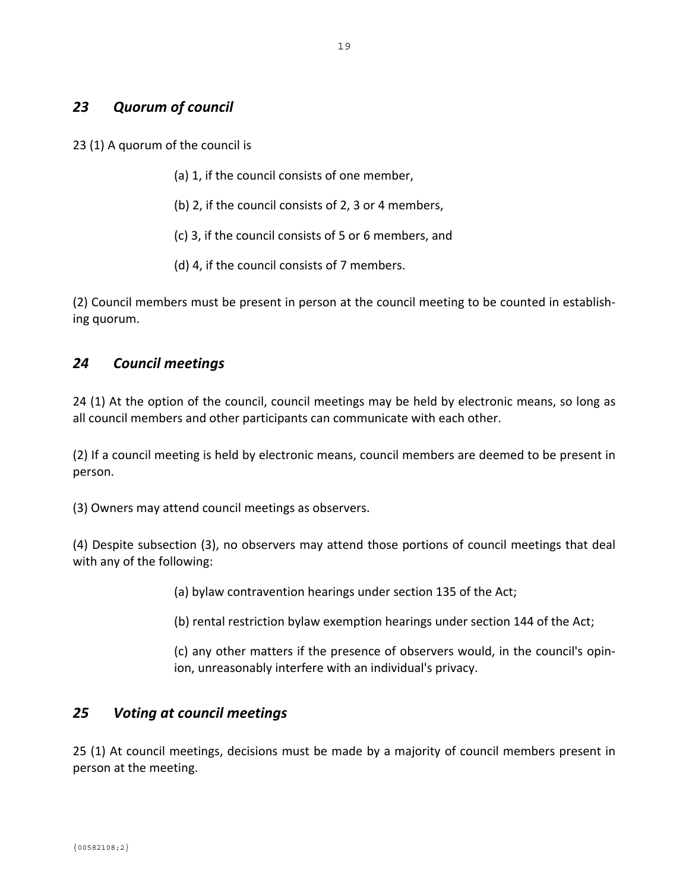## *23 Quorum of council*

23 (1) A quorum of the council is

- (a) 1, if the council consists of one member,
- (b) 2, if the council consists of 2, 3 or 4 members,
- (c) 3, if the council consists of 5 or 6 members, and
- (d) 4, if the council consists of 7 members.

(2) Council members must be present in person at the council meeting to be counted in establish‐ ing quorum.

## *24 Council meetings*

24 (1) At the option of the council, council meetings may be held by electronic means, so long as all council members and other participants can communicate with each other.

(2) If a council meeting is held by electronic means, council members are deemed to be present in person.

(3) Owners may attend council meetings as observers.

(4) Despite subsection (3), no observers may attend those portions of council meetings that deal with any of the following:

(a) bylaw contravention hearings under section 135 of the Act;

(b) rental restriction bylaw exemption hearings under section 144 of the Act;

(c) any other matters if the presence of observers would, in the council's opin‐ ion, unreasonably interfere with an individual's privacy.

#### *25 Voting at council meetings*

25 (1) At council meetings, decisions must be made by a majority of council members present in person at the meeting.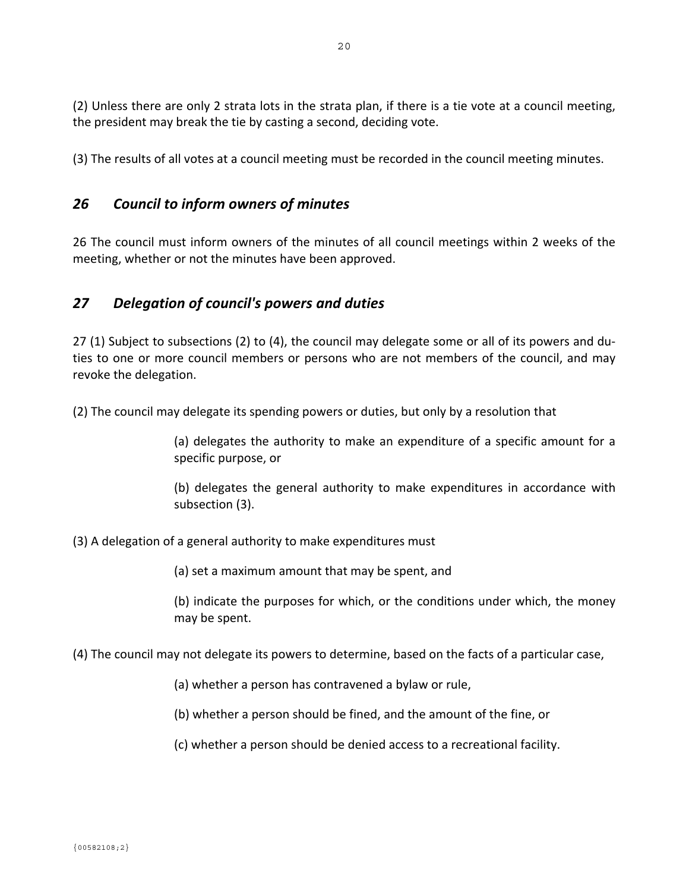(2) Unless there are only 2 strata lots in the strata plan, if there is a tie vote at a council meeting, the president may break the tie by casting a second, deciding vote.

(3) The results of all votes at a council meeting must be recorded in the council meeting minutes.

# *26 Council to inform owners of minutes*

26 The council must inform owners of the minutes of all council meetings within 2 weeks of the meeting, whether or not the minutes have been approved.

## *27 Delegation of council's powers and duties*

27 (1) Subject to subsections (2) to (4), the council may delegate some or all of its powers and du‐ ties to one or more council members or persons who are not members of the council, and may revoke the delegation.

(2) The council may delegate its spending powers or duties, but only by a resolution that

(a) delegates the authority to make an expenditure of a specific amount for a specific purpose, or

(b) delegates the general authority to make expenditures in accordance with subsection (3).

(3) A delegation of a general authority to make expenditures must

(a) set a maximum amount that may be spent, and

(b) indicate the purposes for which, or the conditions under which, the money may be spent.

- (4) The council may not delegate its powers to determine, based on the facts of a particular case,
	- (a) whether a person has contravened a bylaw or rule,
	- (b) whether a person should be fined, and the amount of the fine, or
	- (c) whether a person should be denied access to a recreational facility.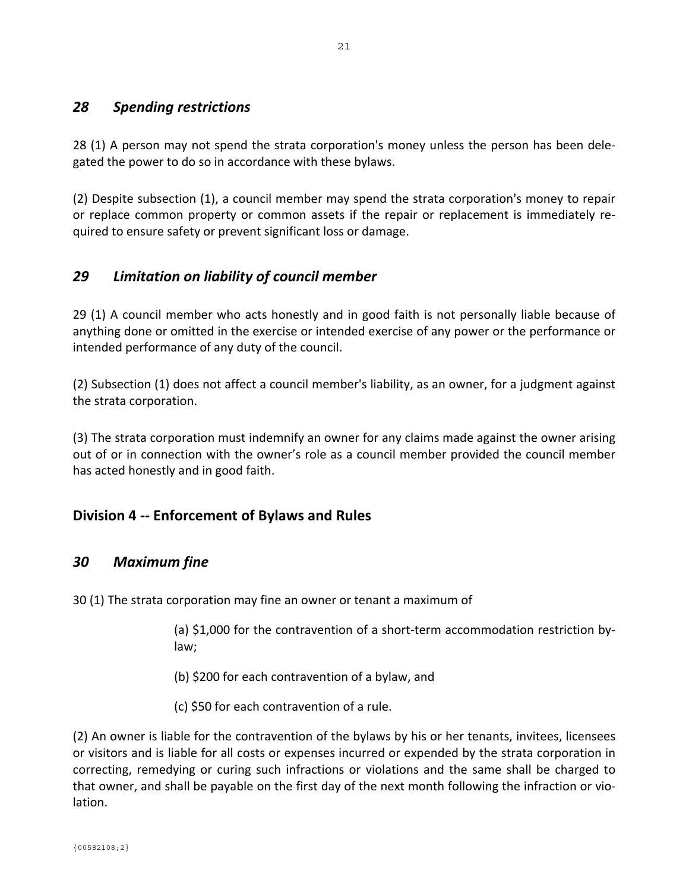#### *28 Spending restrictions*

28 (1) A person may not spend the strata corporation's money unless the person has been dele‐ gated the power to do so in accordance with these bylaws.

(2) Despite subsection (1), a council member may spend the strata corporation's money to repair or replace common property or common assets if the repair or replacement is immediately re‐ quired to ensure safety or prevent significant loss or damage.

## *29 Limitation on liability of council member*

29 (1) A council member who acts honestly and in good faith is not personally liable because of anything done or omitted in the exercise or intended exercise of any power or the performance or intended performance of any duty of the council.

(2) Subsection (1) does not affect a council member's liability, as an owner, for a judgment against the strata corporation.

(3) The strata corporation must indemnify an owner for any claims made against the owner arising out of or in connection with the owner's role as a council member provided the council member has acted honestly and in good faith.

## **Division 4 ‐‐ Enforcement of Bylaws and Rules**

## *30 Maximum fine*

30 (1) The strata corporation may fine an owner or tenant a maximum of

(a) \$1,000 for the contravention of a short‐term accommodation restriction by‐ law;

(b) \$200 for each contravention of a bylaw, and

(c) \$50 for each contravention of a rule.

(2) An owner is liable for the contravention of the bylaws by his or her tenants, invitees, licensees or visitors and is liable for all costs or expenses incurred or expended by the strata corporation in correcting, remedying or curing such infractions or violations and the same shall be charged to that owner, and shall be payable on the first day of the next month following the infraction or vio‐ lation.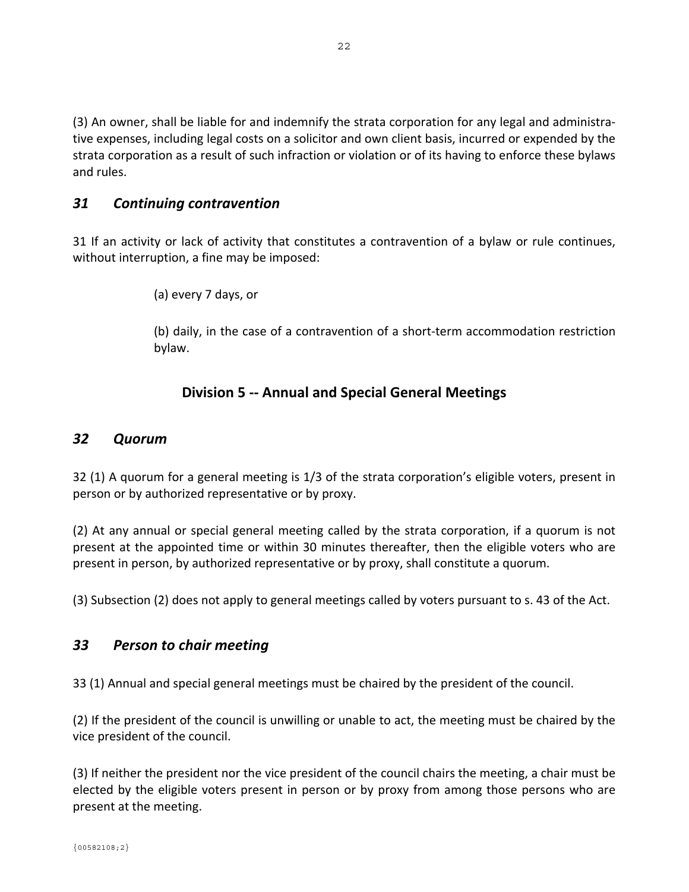(3) An owner, shall be liable for and indemnify the strata corporation for any legal and administra‐ tive expenses, including legal costs on a solicitor and own client basis, incurred or expended by the strata corporation as a result of such infraction or violation or of its having to enforce these bylaws and rules.

### *31 Continuing contravention*

31 If an activity or lack of activity that constitutes a contravention of a bylaw or rule continues, without interruption, a fine may be imposed:

(a) every 7 days, or

(b) daily, in the case of a contravention of a short‐term accommodation restriction bylaw.

## **Division 5 ‐‐ Annual and Special General Meetings**

#### *32 Quorum*

32 (1) A quorum for a general meeting is 1/3 of the strata corporation's eligible voters, present in person or by authorized representative or by proxy.

(2) At any annual or special general meeting called by the strata corporation, if a quorum is not present at the appointed time or within 30 minutes thereafter, then the eligible voters who are present in person, by authorized representative or by proxy, shall constitute a quorum.

(3) Subsection (2) does not apply to general meetings called by voters pursuant to s. 43 of the Act.

#### *33 Person to chair meeting*

33 (1) Annual and special general meetings must be chaired by the president of the council.

(2) If the president of the council is unwilling or unable to act, the meeting must be chaired by the vice president of the council.

(3) If neither the president nor the vice president of the council chairs the meeting, a chair must be elected by the eligible voters present in person or by proxy from among those persons who are present at the meeting.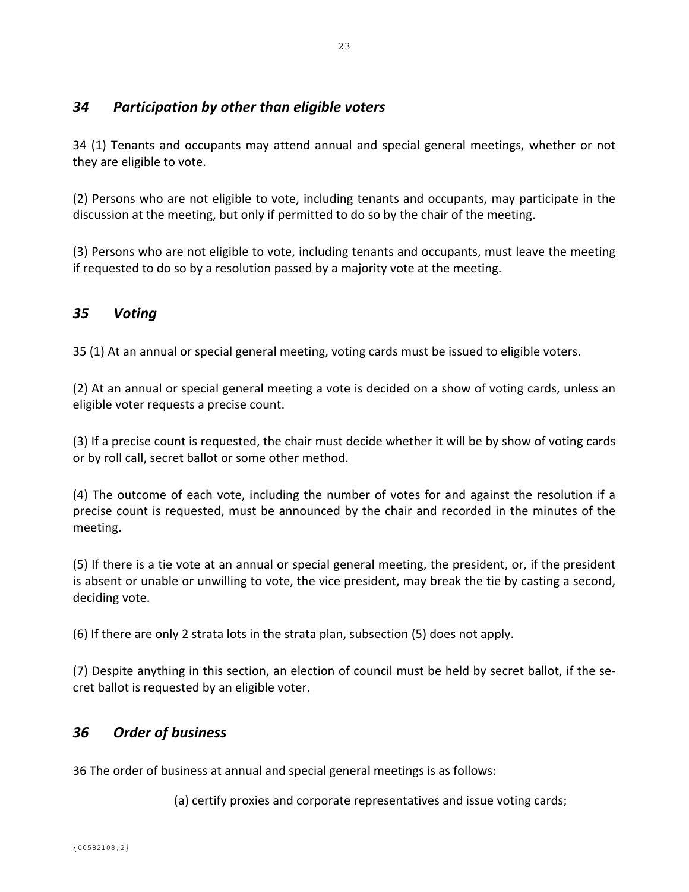## *34 Participation by other than eligible voters*

34 (1) Tenants and occupants may attend annual and special general meetings, whether or not they are eligible to vote.

(2) Persons who are not eligible to vote, including tenants and occupants, may participate in the discussion at the meeting, but only if permitted to do so by the chair of the meeting.

(3) Persons who are not eligible to vote, including tenants and occupants, must leave the meeting if requested to do so by a resolution passed by a majority vote at the meeting.

## *35 Voting*

35 (1) At an annual or special general meeting, voting cards must be issued to eligible voters.

(2) At an annual or special general meeting a vote is decided on a show of voting cards, unless an eligible voter requests a precise count.

(3) If a precise count is requested, the chair must decide whether it will be by show of voting cards or by roll call, secret ballot or some other method.

(4) The outcome of each vote, including the number of votes for and against the resolution if a precise count is requested, must be announced by the chair and recorded in the minutes of the meeting.

(5) If there is a tie vote at an annual or special general meeting, the president, or, if the president is absent or unable or unwilling to vote, the vice president, may break the tie by casting a second, deciding vote.

(6) If there are only 2 strata lots in the strata plan, subsection (5) does not apply.

(7) Despite anything in this section, an election of council must be held by secret ballot, if the se‐ cret ballot is requested by an eligible voter.

# *36 Order of business*

36 The order of business at annual and special general meetings is as follows:

(a) certify proxies and corporate representatives and issue voting cards;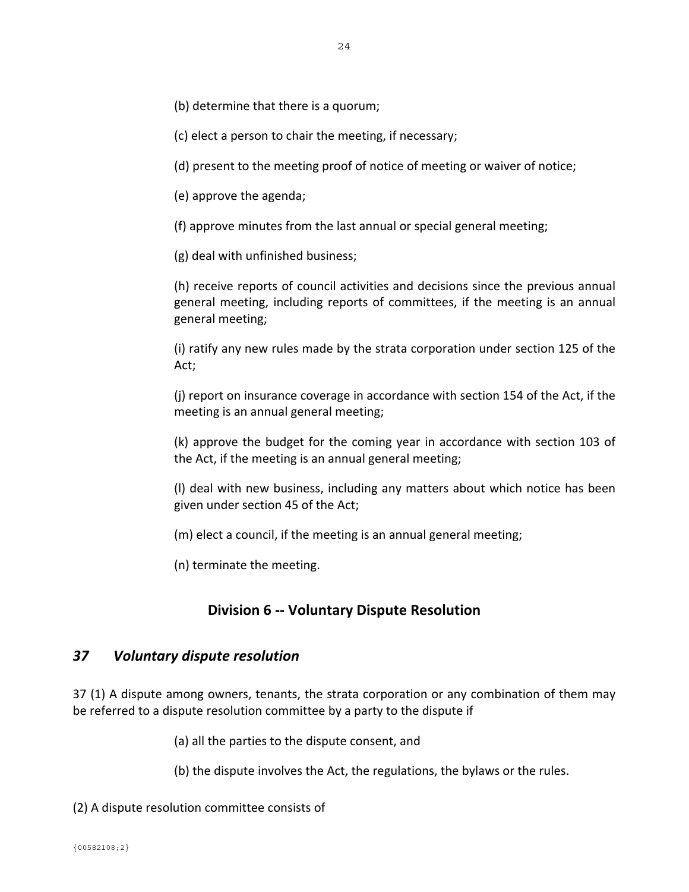(b) determine that there is a quorum;

(c) elect a person to chair the meeting, if necessary;

(d) present to the meeting proof of notice of meeting or waiver of notice;

(e) approve the agenda;

(f) approve minutes from the last annual or special general meeting;

(g) deal with unfinished business;

(h) receive reports of council activities and decisions since the previous annual general meeting, including reports of committees, if the meeting is an annual general meeting;

(i) ratify any new rules made by the strata corporation under section 125 of the Act;

(j) report on insurance coverage in accordance with section 154 of the Act, if the meeting is an annual general meeting;

(k) approve the budget for the coming year in accordance with section 103 of the Act, if the meeting is an annual general meeting;

(l) deal with new business, including any matters about which notice has been given under section 45 of the Act;

(m) elect a council, if the meeting is an annual general meeting;

(n) terminate the meeting.

#### **Division 6 ‐‐ Voluntary Dispute Resolution**

#### *37 Voluntary dispute resolution*

37 (1) A dispute among owners, tenants, the strata corporation or any combination of them may be referred to a dispute resolution committee by a party to the dispute if

(a) all the parties to the dispute consent, and

(b) the dispute involves the Act, the regulations, the bylaws or the rules.

(2) A dispute resolution committee consists of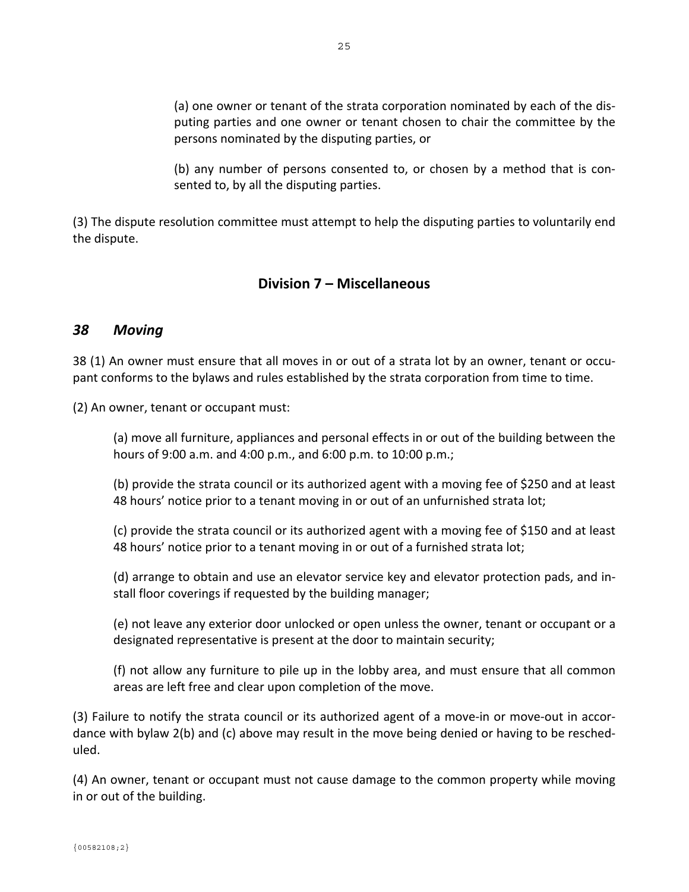(a) one owner or tenant of the strata corporation nominated by each of the dis‐ puting parties and one owner or tenant chosen to chair the committee by the persons nominated by the disputing parties, or

(b) any number of persons consented to, or chosen by a method that is con‐ sented to, by all the disputing parties.

(3) The dispute resolution committee must attempt to help the disputing parties to voluntarily end the dispute.

## **Division 7 – Miscellaneous**

#### *38 Moving*

38 (1) An owner must ensure that all moves in or out of a strata lot by an owner, tenant or occu‐ pant conforms to the bylaws and rules established by the strata corporation from time to time.

(2) An owner, tenant or occupant must:

(a) move all furniture, appliances and personal effects in or out of the building between the hours of 9:00 a.m. and 4:00 p.m., and 6:00 p.m. to 10:00 p.m.;

(b) provide the strata council or its authorized agent with a moving fee of \$250 and at least 48 hours' notice prior to a tenant moving in or out of an unfurnished strata lot;

(c) provide the strata council or its authorized agent with a moving fee of \$150 and at least 48 hours' notice prior to a tenant moving in or out of a furnished strata lot;

(d) arrange to obtain and use an elevator service key and elevator protection pads, and in‐ stall floor coverings if requested by the building manager;

(e) not leave any exterior door unlocked or open unless the owner, tenant or occupant or a designated representative is present at the door to maintain security;

(f) not allow any furniture to pile up in the lobby area, and must ensure that all common areas are left free and clear upon completion of the move.

(3) Failure to notify the strata council or its authorized agent of a move‐in or move‐out in accor‐ dance with bylaw 2(b) and (c) above may result in the move being denied or having to be resched‐ uled.

(4) An owner, tenant or occupant must not cause damage to the common property while moving in or out of the building.